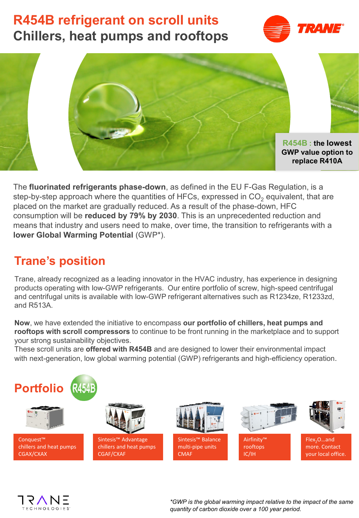# **R454B refrigerant on scroll units Chillers, heat pumps and rooftops**





The **fluorinated refrigerants phase-down**, as defined in the EU F-Gas Regulation, is a step-by-step approach where the quantities of HFCs, expressed in  $CO<sub>2</sub>$  equivalent, that are placed on the market are gradually reduced. As a result of the phase-down, HFC consumption will be **reduced by 79% by 2030**. This is an unprecedented reduction and means that industry and users need to make, over time, the transition to refrigerants with a **lower Global Warming Potential** (GWP\*).

# **Trane's position**

Trane, already recognized as a leading innovator in the HVAC industry, has experience in designing products operating with low-GWP refrigerants. Our entire portfolio of screw, high-speed centrifugal and centrifugal units is available with low-GWP refrigerant alternatives such as R1234ze, R1233zd, and R513A.

**Now**, we have extended the initiative to encompass **our portfolio of chillers, heat pumps and rooftops with scroll compressors** to continue to be front running in the marketplace and to support your strong sustainability objectives.

These scroll units are **offered with R454B** and are designed to lower their environmental impact with next-generation, low global warming potential (GWP) refrigerants and high-efficiency operation.





*\*GWP is the global warming impact relative to the impact of the same quantity of carbon dioxide over a 100 year period.*